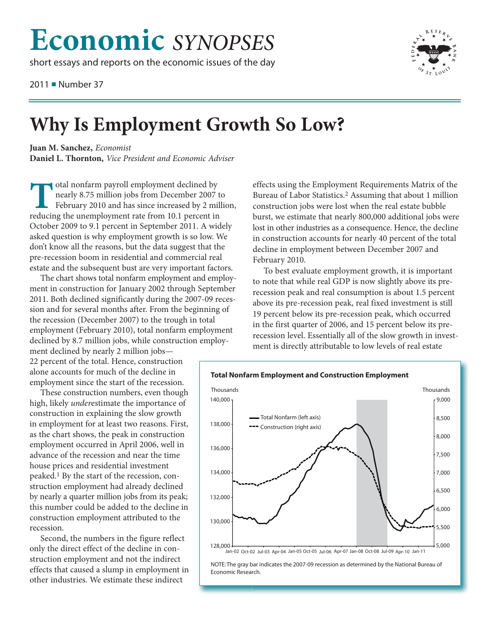## **Economic** *SYNOPSES*

short essays and reports on the economic issues of the day

2011 ■ Number 37



## **Why Is Employment Growth So Low?**

**Juan M. Sanchez,** *Economist* **Daniel L. Thornton,** *Vice President and Economic Adviser*

otal nonfarm payroll employment declined by nearly 8.75 million jobs from December 2007 to February 2010 and has since increased by 2 million, reducing the unemployment rate from 10.1 percent in October 2009 to 9.1 percent in September 2011. A widely asked question is why employment growth is so low. We don't know all the reasons, but the data suggest that the pre-recession boom in residential and commercial real estate and the subsequent bust are very important factors.

The chart shows total nonfarm employment and employment in construction for January 2002 through September 2011. Both declined significantly during the 2007-09 recession and for several months after. From the beginning of the recession (December 2007) to the trough in total employment (February 2010), total nonfarm employment declined by 8.7 million jobs, while construction employ-

ment declined by nearly 2 million jobs— 22 percent of the total. Hence, construction alone accounts for much of the decline in employment since the start of the recession.

These construction numbers, even though high, likely *under*estimate the importance of construction in explaining the slow growth in employment for at least two reasons. First, as the chart shows, the peak in construction employment occurred in April 2006, well in advance of the recession and near the time house prices and residential investment peaked.1 By the start of the recession, construction employment had already declined by nearly a quarter million jobs from its peak; this number could be added to the decline in construction employment attributed to the recession.

Second, the numbers in the figure reflect only the direct effect of the decline in construction employment and not the indirect effects that caused a slump in employment in other industries. We estimate these indirect

effects using the Employment Requirements Matrix of the Bureau of Labor Statistics.2 Assuming that about 1 million construction jobs were lost when the real estate bubble burst, we estimate that nearly 800,000 additional jobs were lost in other industries as a consequence. Hence, the decline in construction accounts for nearly 40 percent of the total decline in employment between December 2007 and February 2010.

To best evaluate employment growth, it is important to note that while real GDP is now slightly above its prerecession peak and real consumption is about 1.5 percent above its pre-recession peak, real fixed investment is still 19 percent below its pre-recession peak, which occurred in the first quarter of 2006, and 15 percent below its prerecession level. Essentially all of the slow growth in investment is directly attributable to low levels of real estate



Jan-02 Oct-02 Jul-03 Apr-04 Jan-05 Oct-05 Jul-06 Apr-07 Jan-08 Oct-08 Jul-09 Apr-10 Jan-11

NOTE: The gray bar indicates the 2007-09 recession as determined by the National Bureau of Economic Research.